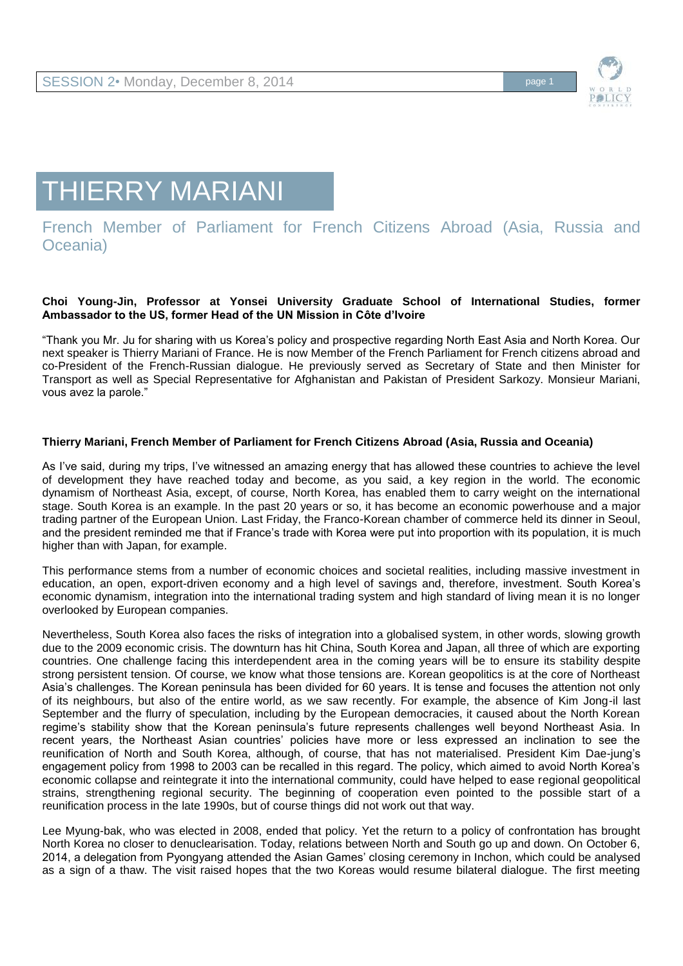

# THIERRY MARIANI

## French Member of Parliament for French Citizens Abroad (Asia, Russia and Oceania)

#### **Choi Young-Jin, Professor at Yonsei University Graduate School of International Studies, former Ambassador to the US, former Head of the UN Mission in Côte d'Ivoire**

"Thank you Mr. Ju for sharing with us Korea's policy and prospective regarding North East Asia and North Korea. Our next speaker is Thierry Mariani of France. He is now Member of the French Parliament for French citizens abroad and co-President of the French-Russian dialogue. He previously served as Secretary of State and then Minister for Transport as well as Special Representative for Afghanistan and Pakistan of President Sarkozy. Monsieur Mariani, vous avez la parole."

### **Thierry Mariani, French Member of Parliament for French Citizens Abroad (Asia, Russia and Oceania)**

As I've said, during my trips, I've witnessed an amazing energy that has allowed these countries to achieve the level of development they have reached today and become, as you said, a key region in the world. The economic dynamism of Northeast Asia, except, of course, North Korea, has enabled them to carry weight on the international stage. South Korea is an example. In the past 20 years or so, it has become an economic powerhouse and a major trading partner of the European Union. Last Friday, the Franco-Korean chamber of commerce held its dinner in Seoul, and the president reminded me that if France's trade with Korea were put into proportion with its population, it is much higher than with Japan, for example.

This performance stems from a number of economic choices and societal realities, including massive investment in education, an open, export-driven economy and a high level of savings and, therefore, investment. South Korea's economic dynamism, integration into the international trading system and high standard of living mean it is no longer overlooked by European companies.

Nevertheless, South Korea also faces the risks of integration into a globalised system, in other words, slowing growth due to the 2009 economic crisis. The downturn has hit China, South Korea and Japan, all three of which are exporting countries. One challenge facing this interdependent area in the coming years will be to ensure its stability despite strong persistent tension. Of course, we know what those tensions are. Korean geopolitics is at the core of Northeast Asia's challenges. The Korean peninsula has been divided for 60 years. It is tense and focuses the attention not only of its neighbours, but also of the entire world, as we saw recently. For example, the absence of Kim Jong-il last September and the flurry of speculation, including by the European democracies, it caused about the North Korean regime's stability show that the Korean peninsula's future represents challenges well beyond Northeast Asia. In recent years, the Northeast Asian countries' policies have more or less expressed an inclination to see the reunification of North and South Korea, although, of course, that has not materialised. President Kim Dae-jung's engagement policy from 1998 to 2003 can be recalled in this regard. The policy, which aimed to avoid North Korea's economic collapse and reintegrate it into the international community, could have helped to ease regional geopolitical strains, strengthening regional security. The beginning of cooperation even pointed to the possible start of a reunification process in the late 1990s, but of course things did not work out that way.

Lee Myung-bak, who was elected in 2008, ended that policy. Yet the return to a policy of confrontation has brought North Korea no closer to denuclearisation. Today, relations between North and South go up and down. On October 6, 2014, a delegation from Pyongyang attended the Asian Games' closing ceremony in Inchon, which could be analysed as a sign of a thaw. The visit raised hopes that the two Koreas would resume bilateral dialogue. The first meeting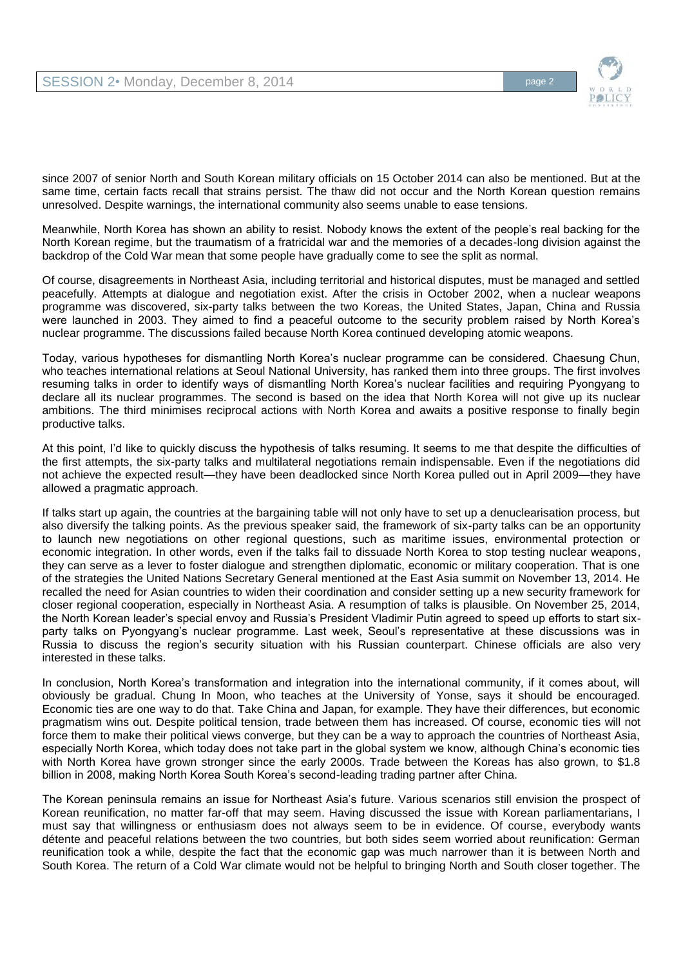

since 2007 of senior North and South Korean military officials on 15 October 2014 can also be mentioned. But at the same time, certain facts recall that strains persist. The thaw did not occur and the North Korean question remains unresolved. Despite warnings, the international community also seems unable to ease tensions.

Meanwhile, North Korea has shown an ability to resist. Nobody knows the extent of the people's real backing for the North Korean regime, but the traumatism of a fratricidal war and the memories of a decades-long division against the backdrop of the Cold War mean that some people have gradually come to see the split as normal.

Of course, disagreements in Northeast Asia, including territorial and historical disputes, must be managed and settled peacefully. Attempts at dialogue and negotiation exist. After the crisis in October 2002, when a nuclear weapons programme was discovered, six-party talks between the two Koreas, the United States, Japan, China and Russia were launched in 2003. They aimed to find a peaceful outcome to the security problem raised by North Korea's nuclear programme. The discussions failed because North Korea continued developing atomic weapons.

Today, various hypotheses for dismantling North Korea's nuclear programme can be considered. Chaesung Chun, who teaches international relations at Seoul National University, has ranked them into three groups. The first involves resuming talks in order to identify ways of dismantling North Korea's nuclear facilities and requiring Pyongyang to declare all its nuclear programmes. The second is based on the idea that North Korea will not give up its nuclear ambitions. The third minimises reciprocal actions with North Korea and awaits a positive response to finally begin productive talks.

At this point, I'd like to quickly discuss the hypothesis of talks resuming. It seems to me that despite the difficulties of the first attempts, the six-party talks and multilateral negotiations remain indispensable. Even if the negotiations did not achieve the expected result—they have been deadlocked since North Korea pulled out in April 2009—they have allowed a pragmatic approach.

If talks start up again, the countries at the bargaining table will not only have to set up a denuclearisation process, but also diversify the talking points. As the previous speaker said, the framework of six-party talks can be an opportunity to launch new negotiations on other regional questions, such as maritime issues, environmental protection or economic integration. In other words, even if the talks fail to dissuade North Korea to stop testing nuclear weapons, they can serve as a lever to foster dialogue and strengthen diplomatic, economic or military cooperation. That is one of the strategies the United Nations Secretary General mentioned at the East Asia summit on November 13, 2014. He recalled the need for Asian countries to widen their coordination and consider setting up a new security framework for closer regional cooperation, especially in Northeast Asia. A resumption of talks is plausible. On November 25, 2014, the North Korean leader's special envoy and Russia's President Vladimir Putin agreed to speed up efforts to start sixparty talks on Pyongyang's nuclear programme. Last week, Seoul's representative at these discussions was in Russia to discuss the region's security situation with his Russian counterpart. Chinese officials are also very interested in these talks.

In conclusion, North Korea's transformation and integration into the international community, if it comes about, will obviously be gradual. Chung In Moon, who teaches at the University of Yonse, says it should be encouraged. Economic ties are one way to do that. Take China and Japan, for example. They have their differences, but economic pragmatism wins out. Despite political tension, trade between them has increased. Of course, economic ties will not force them to make their political views converge, but they can be a way to approach the countries of Northeast Asia, especially North Korea, which today does not take part in the global system we know, although China's economic ties with North Korea have grown stronger since the early 2000s. Trade between the Koreas has also grown, to \$1.8 billion in 2008, making North Korea South Korea's second-leading trading partner after China.

The Korean peninsula remains an issue for Northeast Asia's future. Various scenarios still envision the prospect of Korean reunification, no matter far-off that may seem. Having discussed the issue with Korean parliamentarians, I must say that willingness or enthusiasm does not always seem to be in evidence. Of course, everybody wants détente and peaceful relations between the two countries, but both sides seem worried about reunification: German reunification took a while, despite the fact that the economic gap was much narrower than it is between North and South Korea. The return of a Cold War climate would not be helpful to bringing North and South closer together. The